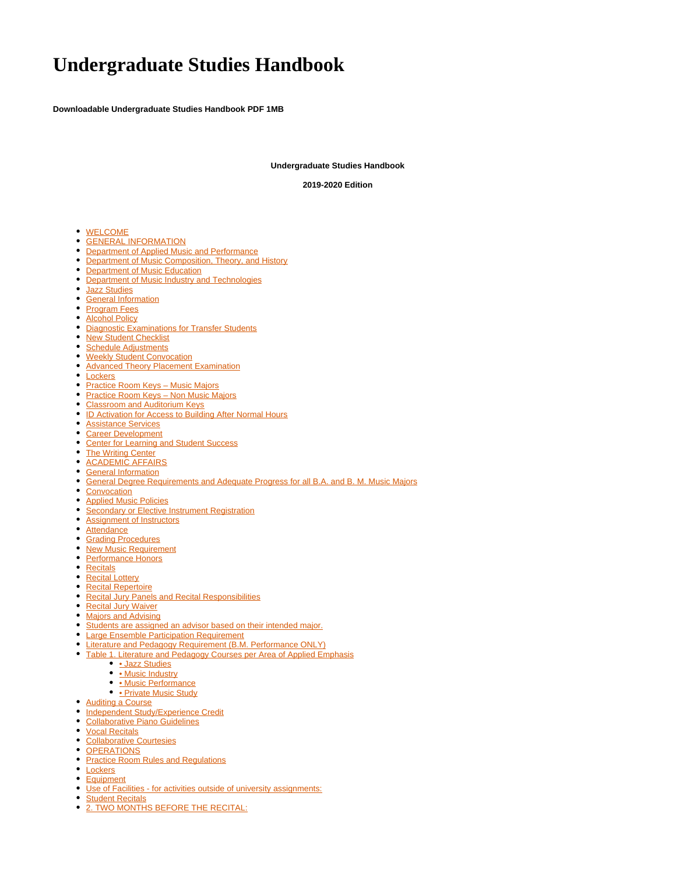# **Undergraduate Studies Handbook**

**Downloadable Undergraduate Studies Handbook PDF 1MB**

**Undergraduate Studies Handbook**

**2019-2020 Edition**

- [WELCOME](#page-1-0)
- **[GENERAL INFORMATION](#page-1-1)**
- [Department of Applied Music and Performance](#page-1-2)
- [Department of Music Composition, Theory, and History](#page-1-3)
- [Department of Music Education](#page-1-4)
- [Department of Music Industry and Technologies](#page-1-5)
- [Jazz Studies](#page-2-0)
- **[General Information](#page-2-1)**
- [Program Fees](#page-2-2)
- [Alcohol Policy](#page-2-3)
- [Diagnostic Examinations for Transfer Students](#page-2-4)
- [New Student Checklist](#page-2-5)
- [Schedule Adjustments](#page-3-0)
- **[Weekly Student Convocation](#page-3-1)**
- [Advanced Theory Placement Examination](#page-3-2)  $\bullet$
- [Lockers](#page-3-3)
- Practice Room Keys Music Majors
- Practice Room Keys Non Music Majors
- [Classroom and Auditorium Keys](#page-4-1)
- [ID Activation for Access to Building After Normal Hours](#page-4-2)
- [Assistance Services](#page-4-3)
- [Career Development](#page-4-4)
- [Center for Learning and Student Success](#page-4-5)
- [The Writing Center](#page-5-0)
- **[ACADEMIC AFFAIRS](#page-5-1)**
- [General Information](#page-5-2)
- [General Degree Requirements and Adequate Progress for all B.A. and B. M. Music Majors](#page-5-3)
- [Convocation](#page-5-4)
- $\bullet$ [Applied Music Policies](#page-5-5)
- **[Secondary or Elective Instrument Registration](#page-6-0)**
- [Assignment of Instructors](#page-6-1)
- [Attendance](#page-6-2)
- **[Grading Procedures](#page-6-3)**
- [New Music Requirement](#page-7-0)
- [Performance Honors](#page-7-1)
- [Recitals](#page-7-2)
- [Recital Lottery](#page-8-0)
- [Recital Repertoire](#page-8-1)
- **[Recital Jury Panels and Recital Responsibilities](#page-8-2)**
- [Recital Jury Waiver](#page-8-3)
- [Majors and Advising](#page-8-4)
- [Students are assigned an advisor based on their intended major.](#page-8-5)
- **[Large Ensemble Participation Requirement](#page-9-0)**
- **[Literature and Pedagogy Requirement \(B.M. Performance ONLY\)](#page-9-1)**
- [Table 1. Literature and Pedagogy Courses per Area of Applied Emphasis](#page-9-2)
	- [Jazz Studies](#page-10-0)
	- [Music Industry](#page-10-1)
	- [Music Performance](#page-10-2)
	- [Private Music Study](#page-10-3)
- [Auditing a Course](#page-10-4)
- [Independent Study/Experience Credit](#page-10-5)
- [Collaborative Piano Guidelines](#page-11-0)
- [Vocal Recitals](#page-12-0)
- [Collaborative Courtesies](#page-12-1)
- **[OPERATIONS](#page-12-2)**
- **[Practice Room Rules and Regulations](#page-12-3)**
- [Lockers](#page-13-0)
- [Equipment](#page-13-1)
- [Use of Facilities for activities outside of university assignments:](#page-13-2)
- **[Student Recitals](#page-13-3)**
- [2. TWO MONTHS BEFORE THE RECITAL:](#page-14-0)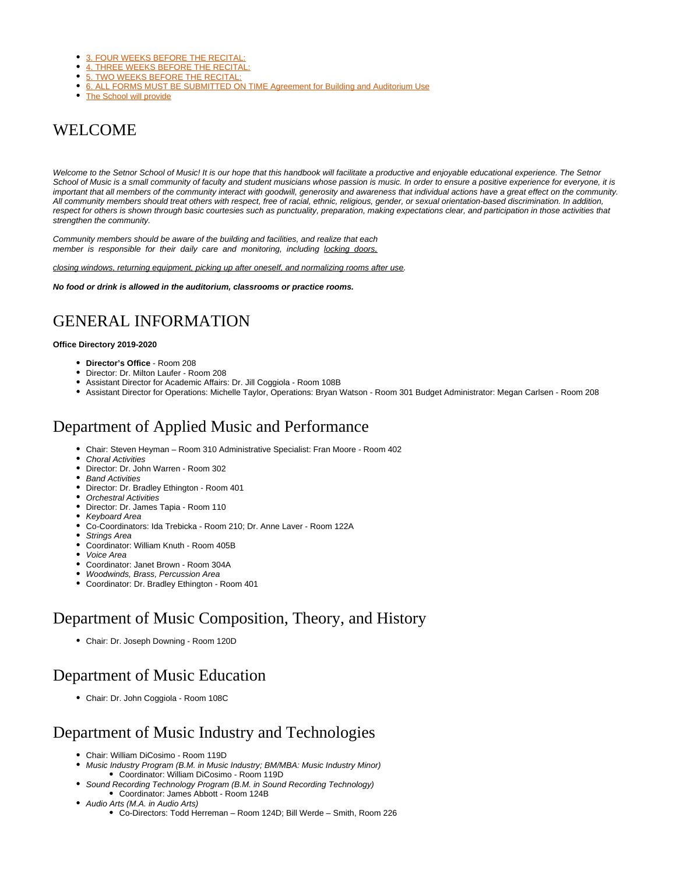- 3. FOUR WEEKS BEFORE THE RECITAL
- $\bullet$ [4. THREE WEEKS BEFORE THE RECITAL:](#page-14-2)
- [5. TWO WEEKS BEFORE THE RECITAL:](#page-14-3)
- [6. ALL FORMS MUST BE SUBMITTED ON TIME Agreement for Building and Auditorium Use](#page-14-4)
- [The School will provide](#page-15-0)

## <span id="page-1-0"></span>WELCOME

Welcome to the Setnor School of Music! It is our hope that this handbook will facilitate a productive and enjoyable educational experience. The Setnor School of Music is a small community of faculty and student musicians whose passion is music. In order to ensure a positive experience for everyone, it is important that all members of the community interact with goodwill, generosity and awareness that individual actions have a great effect on the community. All community members should treat others with respect, free of racial, ethnic, religious, gender, or sexual orientation-based discrimination. In addition, respect for others is shown through basic courtesies such as punctuality, preparation, making expectations clear, and participation in those activities that strengthen the community.

Community members should be aware of the building and facilities, and realize that each member is responsible for their daily care and monitoring, including locking doors,

closing windows, returning equipment, picking up after oneself, and normalizing rooms after use.

**No food or drink is allowed in the auditorium, classrooms or practice rooms.**

# <span id="page-1-1"></span>GENERAL INFORMATION

#### **Office Directory 2019-2020**

- **Director's Office**  Room 208
- Director: Dr. Milton Laufer Room 208
- Assistant Director for Academic Affairs: Dr. Jill Coggiola Room 108B
- Assistant Director for Operations: Michelle Taylor, Operations: Bryan Watson Room 301 Budget Administrator: Megan Carlsen Room 208

## <span id="page-1-2"></span>Department of Applied Music and Performance

- Chair: Steven Heyman Room 310 Administrative Specialist: Fran Moore Room 402
- Choral Activities
- Director: Dr. John Warren Room 302
- Band Activities
- Director: Dr. Bradley Ethington Room 401
- Orchestral Activities
- Director: Dr. James Tapia Room 110
- Keyboard Area
- Co-Coordinators: Ida Trebicka Room 210; Dr. Anne Laver Room 122A
- Strings Area
- Coordinator: William Knuth Room 405B
- Voice Area
- Coordinator: Janet Brown Room 304A
- Woodwinds, Brass, Percussion Area
- Coordinator: Dr. Bradley Ethington Room 401

## <span id="page-1-3"></span>Department of Music Composition, Theory, and History

Chair: Dr. Joseph Downing - Room 120D

# <span id="page-1-4"></span>Department of Music Education

Chair: Dr. John Coggiola - Room 108C

## <span id="page-1-5"></span>Department of Music Industry and Technologies

- Chair: William DiCosimo Room 119D
- Music Industry Program (B.M. in Music Industry; BM/MBA: Music Industry Minor) Coordinator: William DiCosimo - Room 119D
- Sound Recording Technology Program (B.M. in Sound Recording Technology) Coordinator: James Abbott - Room 124B
- Audio Arts (M.A. in Audio Arts)
	- Co-Directors: Todd Herreman Room 124D; Bill Werde Smith, Room 226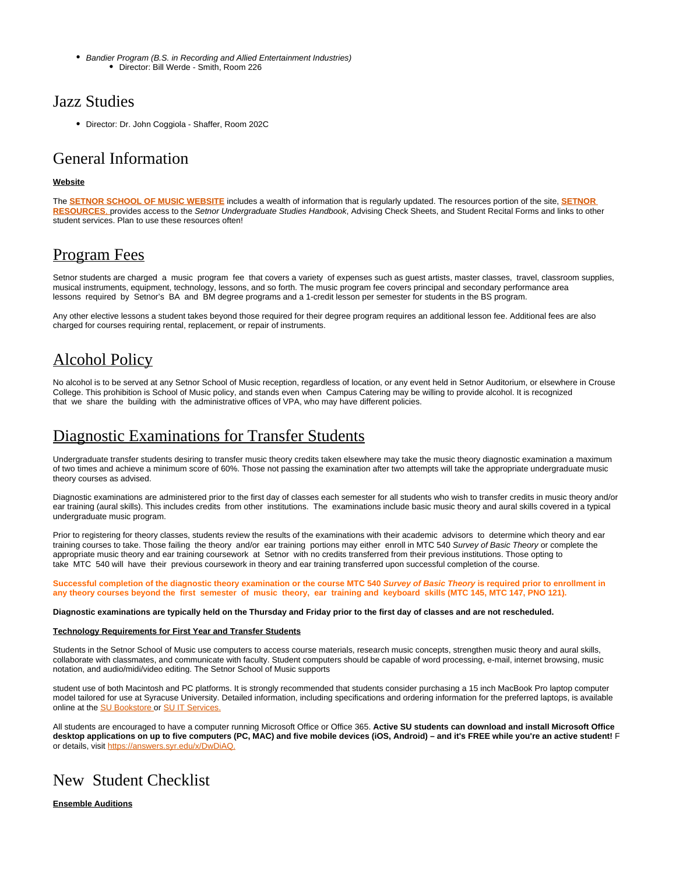• Bandier Program (B.S. in Recording and Allied Entertainment Industries) Director: Bill Werde - Smith, Room 226

## <span id="page-2-0"></span>Jazz Studies

Director: Dr. John Coggiola - Shaffer, Room 202C

### <span id="page-2-1"></span>General Information

### **Website**

The **[SETNOR SCHOOL OF MUSIC WEBSITE](http://vpa.syr.edu/academics/setnor/)** includes a wealth of information that is regularly updated. The resources portion of the site, **[SETNOR](http://setnor-resources.vpa.syr.edu/music-majors/)  [RESOURCES](http://setnor-resources.vpa.syr.edu/music-majors/)**, provides access to the Setnor Undergraduate Studies Handbook, Advising Check Sheets, and Student Recital Forms and links to other student services. Plan to use these resources often!

### <span id="page-2-2"></span>Program Fees

Setnor students are charged a music program fee that covers a variety of expenses such as quest artists, master classes, travel, classroom supplies, musical instruments, equipment, technology, lessons, and so forth. The music program fee covers principal and secondary performance area lessons required by Setnor's BA and BM degree programs and a 1-credit lesson per semester for students in the BS program.

Any other elective lessons a student takes beyond those required for their degree program requires an additional lesson fee. Additional fees are also charged for courses requiring rental, replacement, or repair of instruments.

# <span id="page-2-3"></span>Alcohol Policy

No alcohol is to be served at any Setnor School of Music reception, regardless of location, or any event held in Setnor Auditorium, or elsewhere in Crouse College. This prohibition is School of Music policy, and stands even when Campus Catering may be willing to provide alcohol. It is recognized that we share the building with the administrative offices of VPA, who may have different policies.

## <span id="page-2-4"></span>Diagnostic Examinations for Transfer Students

Undergraduate transfer students desiring to transfer music theory credits taken elsewhere may take the music theory diagnostic examination a maximum of two times and achieve a minimum score of 60%. Those not passing the examination after two attempts will take the appropriate undergraduate music theory courses as advised.

Diagnostic examinations are administered prior to the first day of classes each semester for all students who wish to transfer credits in music theory and/or ear training (aural skills). This includes credits from other institutions. The examinations include basic music theory and aural skills covered in a typical undergraduate music program.

Prior to registering for theory classes, students review the results of the examinations with their academic advisors to determine which theory and ear training courses to take. Those failing the theory and/or ear training portions may either enroll in MTC 540 Survey of Basic Theory or complete the appropriate music theory and ear training coursework at Setnor with no credits transferred from their previous institutions. Those opting to take MTC 540 will have their previous coursework in theory and ear training transferred upon successful completion of the course.

**Successful completion of the diagnostic theory examination or the course MTC 540 Survey of Basic Theory is required prior to enrollment in any theory courses beyond the first semester of music theory, ear training and keyboard skills (MTC 145, MTC 147, PNO 121).**

#### **Diagnostic examinations are typically held on the Thursday and Friday prior to the first day of classes and are not rescheduled.**

#### **Technology Requirements for First Year and Transfer Students**

Students in the Setnor School of Music use computers to access course materials, research music concepts, strengthen music theory and aural skills, collaborate with classmates, and communicate with faculty. Student computers should be capable of word processing, e-mail, internet browsing, music notation, and audio/midi/video editing. The Setnor School of Music supports

student use of both Macintosh and PC platforms. It is strongly recommended that students consider purchasing a 15 inch MacBook Pro laptop computer model tailored for use at Syracuse University. Detailed information, including specifications and ordering information for the preferred laptops, is available online at the [SU Bookstore](http://bookweb.syr.edu/) or [SU IT Services.](http://its.syr.edu/)

All students are encouraged to have a computer running Microsoft Office or Office 365. **Active SU students can download and install Microsoft Office desktop applications on up to five computers (PC, MAC) and five mobile devices (iOS, Android) – and it's FREE while you're an active student!** F or details, visit [https://answers.syr.edu/x/DwDiAQ.](https://answers.syr.edu/x/DwDiAQ)

# <span id="page-2-5"></span>New Student Checklist

**Ensemble Auditions**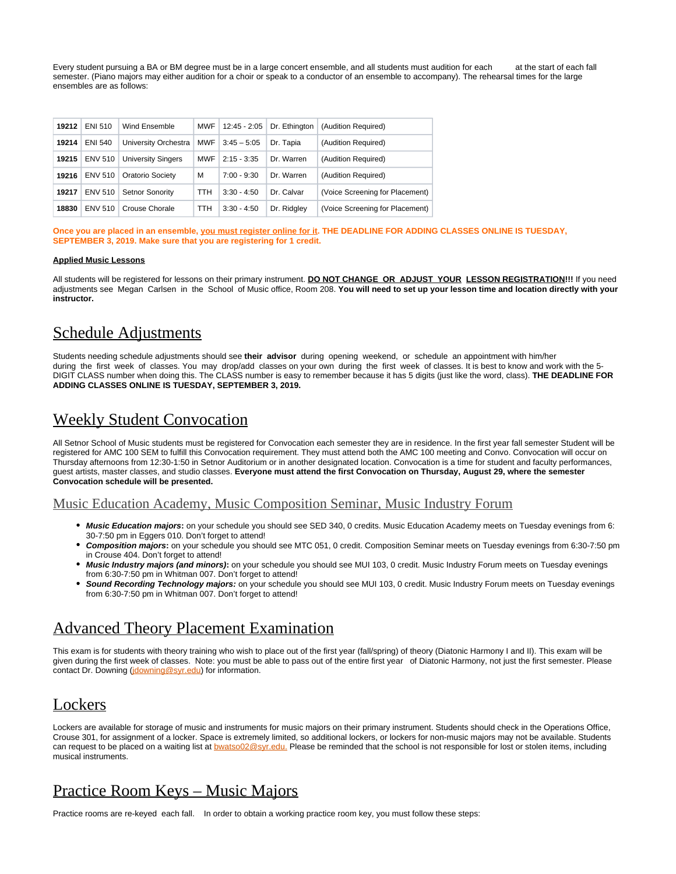Every student pursuing a BA or BM degree must be in a large concert ensemble, and all students must audition for each at the start of each fall semester. (Piano majors may either audition for a choir or speak to a conductor of an ensemble to accompany). The rehearsal times for the large ensembles are as follows:

| 19212 | <b>ENI 510</b> | Wind Ensemble             | MWF        | $12:45 - 2:05$ | Dr. Ethinaton | (Audition Required)             |
|-------|----------------|---------------------------|------------|----------------|---------------|---------------------------------|
| 19214 | <b>ENI 540</b> | University Orchestra      | MWF        | $3:45 - 5:05$  | Dr. Tapia     | (Audition Required)             |
| 19215 | <b>ENV 510</b> | <b>University Singers</b> | <b>MWF</b> | $2:15 - 3:35$  | Dr. Warren    | (Audition Required)             |
| 19216 | <b>ENV 510</b> | Oratorio Society          | M          | $7:00 - 9:30$  | Dr. Warren    | (Audition Required)             |
| 19217 | ENV 510        | <b>Setnor Sonority</b>    | TTH.       | $3:30 - 4:50$  | Dr. Calvar    | (Voice Screening for Placement) |
| 18830 | ENV 510        | Crouse Chorale            | TTH        | $3:30 - 4:50$  | Dr. Ridgley   | (Voice Screening for Placement) |

**Once you are placed in an ensemble, you must register online for it. THE DEADLINE FOR ADDING CLASSES ONLINE IS TUESDAY, SEPTEMBER 3, 2019. Make sure that you are registering for 1 credit.**

#### **Applied Music Lessons**

All students will be registered for lessons on their primary instrument. **DO NOT CHANGE OR ADJUST YOUR LESSON REGISTRATION!!!** If you need adjustments see Megan Carlsen in the School of Music office, Room 208. **You will need to set up your lesson time and location directly with your instructor.**

### <span id="page-3-0"></span>Schedule Adjustments

Students needing schedule adjustments should see **their advisor** during opening weekend, or schedule an appointment with him/her during the first week of classes. You may drop/add classes on your own during the first week of classes. It is best to know and work with the 5- DIGIT CLASS number when doing this. The CLASS number is easy to remember because it has 5 digits (just like the word, class). **THE DEADLINE FOR ADDING CLASSES ONLINE IS TUESDAY, SEPTEMBER 3, 2019.**

## <span id="page-3-1"></span>Weekly Student Convocation

All Setnor School of Music students must be registered for Convocation each semester they are in residence. In the first year fall semester Student will be registered for AMC 100 SEM to fulfill this Convocation requirement. They must attend both the AMC 100 meeting and Convo. Convocation will occur on Thursday afternoons from 12:30-1:50 in Setnor Auditorium or in another designated location. Convocation is a time for student and faculty performances, guest artists, master classes, and studio classes. **Everyone must attend the first Convocation on Thursday, August 29, where the semester Convocation schedule will be presented.**

### Music Education Academy, Music Composition Seminar, Music Industry Forum

- **Music Education majors:** on your schedule you should see SED 340, 0 credits. Music Education Academy meets on Tuesday evenings from 6: 30-7:50 pm in Eggers 010. Don't forget to attend!
- **Composition majors:** on your schedule you should see MTC 051, 0 credit. Composition Seminar meets on Tuesday evenings from 6:30-7:50 pm in Crouse 404. Don't forget to attend!
- **Music Industry majors (and minors):** on your schedule you should see MUI 103, 0 credit. Music Industry Forum meets on Tuesday evenings from 6:30-7:50 pm in Whitman 007. Don't forget to attend!
- **Sound Recording Technology majors:** on your schedule you should see MUI 103, 0 credit. Music Industry Forum meets on Tuesday evenings from 6:30-7:50 pm in Whitman 007. Don't forget to attend!

## <span id="page-3-2"></span>Advanced Theory Placement Examination

This exam is for students with theory training who wish to place out of the first year (fall/spring) of theory (Diatonic Harmony I and II). This exam will be given during the first week of classes. Note: you must be able to pass out of the entire first year of Diatonic Harmony, not just the first semester. Please contact Dr. Downing [\(jdowning@syr.edu\)](mailto:jdowning@syr.edu) for information.

## <span id="page-3-3"></span>Lockers

Lockers are available for storage of music and instruments for music majors on their primary instrument. Students should check in the Operations Office, Crouse 301, for assignment of a locker. Space is extremely limited, so additional lockers, or lockers for non-music majors may not be available. Students can request to be placed on a waiting list at **[bwatso02@syr.edu.](mailto:bwatso02@syr.edu)** Please be reminded that the school is not responsible for lost or stolen items, including musical instruments.

## <span id="page-3-4"></span>Practice Room Keys – Music Majors

Practice rooms are re-keyed each fall. In order to obtain a working practice room key, you must follow these steps: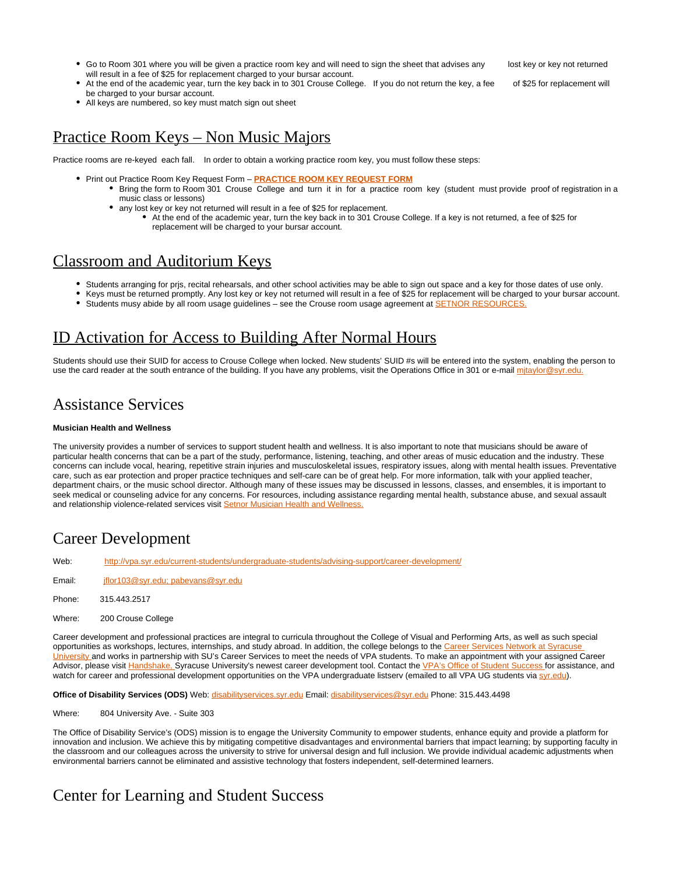• Go to Room 301 where you will be given a practice room key and will need to sign the sheet that advises any lost key or key not returned will result in a fee of \$25 for replacement charged to your bursar account.

- At the end of the academic year, turn the key back in to 301 Crouse College. If you do not return the key, a fee of \$25 for replacement will be charged to your bursar account.
- All keys are numbered, so key must match sign out sheet

## <span id="page-4-0"></span>Practice Room Keys – Non Music Majors

Practice rooms are re-keyed each fall. In order to obtain a working practice room key, you must follow these steps:

- **Print out Practice Room Key Request Form [PRACTICE ROOM KEY REQUEST FORM](https://its-forms.syr.edu/frevvo/web/tn/VPA/user/mecarlse/app/_L9j2sDxLEeWxmM5q6-jqow/formtype/_ZqCuMFgWEeaqzbUfLcBjSQ/popupform)** 
	- Bring the form to Room 301 Crouse College and turn it in for a practice room key (student must provide proof of registration in a music class or lessons)
	- any lost key or key not returned will result in a fee of \$25 for replacement.
		- At the end of the academic year, turn the key back in to 301 Crouse College. If a key is not returned, a fee of \$25 for replacement will be charged to your bursar account.

### <span id="page-4-1"></span>Classroom and Auditorium Keys

- Students arranging for prjs, recital rehearsals, and other school activities may be able to sign out space and a key for those dates of use only.
	- Keys must be returned promptly. Any lost key or key not returned will result in a fee of \$25 for replacement will be charged to your bursar account.
	- Students musy abide by all room usage guidelines see the Crouse room usage agreement at **SETNOR RESOURCE**

## <span id="page-4-2"></span>ID Activation for Access to Building After Normal Hours

Students should use their SUID for access to Crouse College when locked. New students' SUID #s will be entered into the system, enabling the person to use the card reader at the south entrance of the building. If you have any problems, visit the Operations Office in 301 or e-mail mitaylor@syr.edu

## <span id="page-4-3"></span>Assistance Services

#### **Musician Health and Wellness**

The university provides a number of services to support student health and wellness. It is also important to note that musicians should be aware of particular health concerns that can be a part of the study, performance, listening, teaching, and other areas of music education and the industry. These concerns can include vocal, hearing, repetitive strain injuries and musculoskeletal issues, respiratory issues, along with mental health issues. Preventative care, such as ear protection and proper practice techniques and self-care can be of great help. For more information, talk with your applied teacher, department chairs, or the music school director. Although many of these issues may be discussed in lessons, classes, and ensembles, it is important to seek medical or counseling advice for any concerns. For resources, including assistance regarding mental health, substance abuse, and sexual assault and relationship violence-related services visit [Setnor Musician Health and Wellness.](http://setnor-resources.vpa.syr.edu/musician-health-and-wellness/)

## <span id="page-4-4"></span>Career Development

Web: <http://vpa.syr.edu/current-students/undergraduate-students/advising-support/career-development/>

- Email: [jflor103@syr.edu;](mailto:jflor103@syr.edu) [pabevans@syr.edu](mailto:pabevans@syr.edu)
- Phone: 315.443.2517
- Where: 200 Crouse College

Career development and professional practices are integral to curricula throughout the College of Visual and Performing Arts, as well as such special opportunities as workshops, lectures, internships, and study abroad. In addition, the college belongs to the Career Services Network at Syracuse [University](http://careerservices.syr.edu/) and works in partnership with SU's Career Services to meet the needs of VPA students. To make an appointment with your assigned Career Advisor, please visit [Handshake,](https://syr.joinhandshake.com/login) Syracuse University's newest career development tool. Contact the [VPA's Office of Student Success f](http://vpa.syr.edu/about-suvpa/administration/student-success)or assistance, and watch for career and professional development opportunities on the VPA undergraduate listserv (emailed to all VPA UG students via [syr.edu](http://syr.edu)).

Office of Disability Services (ODS) Web: [disabilityservices.syr.edu](http://disabilityservices.syr.edu/) Email: [disabilityservices@syr.edu](mailto:disabilityservices@syr.edu) Phone: 315.443.4498

Where: 804 University Ave. - Suite 303

The Office of Disability Service's (ODS) mission is to engage the University Community to empower students, enhance equity and provide a platform for innovation and inclusion. We achieve this by mitigating competitive disadvantages and environmental barriers that impact learning; by supporting faculty in the classroom and our colleagues across the university to strive for universal design and full inclusion. We provide individual academic adjustments when environmental barriers cannot be eliminated and assistive technology that fosters independent, self-determined learners.

## <span id="page-4-5"></span>Center for Learning and Student Success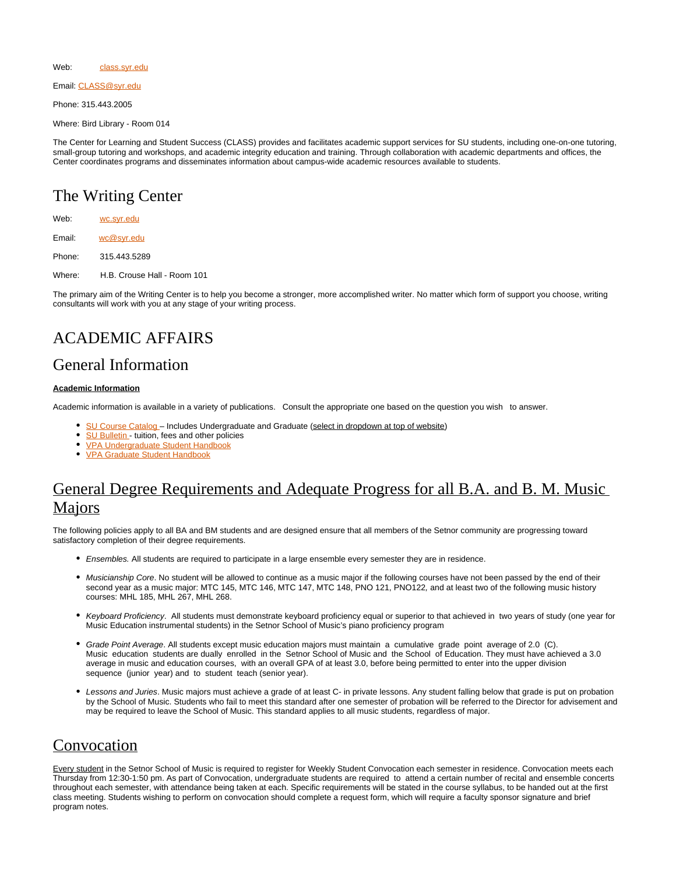Web: [class.syr.edu](http://class.syr.edu/)

Email: [CLASS@syr.edu](mailto:CLASS@syr.edu)

Phone: 315.443.2005

Where: Bird Library - Room 014

The Center for Learning and Student Success (CLASS) provides and facilitates academic support services for SU students, including one-on-one tutoring, small-group tutoring and workshops, and academic integrity education and training. Through collaboration with academic departments and offices, the Center coordinates programs and disseminates information about campus-wide academic resources available to students.

# <span id="page-5-0"></span>The Writing Center

| Web:   | wc.syr.edu                  |
|--------|-----------------------------|
| Email: | wc@svr.edu                  |
| Phone: | 315.443.5289                |
| Where: | H.B. Crouse Hall - Room 101 |

The primary aim of the Writing Center is to help you become a stronger, more accomplished writer. No matter which form of support you choose, writing consultants will work with you at any stage of your writing process.

# <span id="page-5-1"></span>ACADEMIC AFFAIRS

## <span id="page-5-2"></span>General Information

#### **Academic Information**

Academic information is available in a variety of publications. Consult the appropriate one based on the question you wish to answer.

- [SU Course Catalog –](http://coursecatalog.syr.edu/index.php) Includes Undergraduate and Graduate (select in dropdown at top of website)
- [SU Bulletin](http://bfas.syr.edu/bursar/tuition-fees-and-related-policies-bulletin)  tuition, fees and other policies
- [VPA Undergraduate Student Handbook](http://vpa.syr.edu/current-students/undergraduate-students/advising-support/career-development/)
- [VPA Graduate Student Handbook](http://vpa.syr.edu/current-students/graduate-students/resources/)

# <span id="page-5-3"></span>General Degree Requirements and Adequate Progress for all B.A. and B. M. Music Majors

The following policies apply to all BA and BM students and are designed ensure that all members of the Setnor community are progressing toward satisfactory completion of their degree requirements.

- **Ensembles. All students are required to participate in a large ensemble every semester they are in residence.**
- Musicianship Core. No student will be allowed to continue as a music major if the following courses have not been passed by the end of their second year as a music major: MTC 145, MTC 146, MTC 147, MTC 148, PNO 121, PNO122, and at least two of the following music history courses: MHL 185, MHL 267, MHL 268.
- Keyboard Proficiency. All students must demonstrate keyboard proficiency equal or superior to that achieved in two years of study (one year for Music Education instrumental students) in the Setnor School of Music's piano proficiency program
- Grade Point Average. All students except music education majors must maintain a cumulative grade point average of 2.0 (C). Music education students are dually enrolled in the Setnor School of Music and the School of Education. They must have achieved a 3.0 average in music and education courses, with an overall GPA of at least 3.0, before being permitted to enter into the upper division sequence (junior year) and to student teach (senior year).
- Lessons and Juries. Music majors must achieve a grade of at least C- in private lessons. Any student falling below that grade is put on probation by the School of Music. Students who fail to meet this standard after one semester of probation will be referred to the Director for advisement and may be required to leave the School of Music. This standard applies to all music students, regardless of major.

## <span id="page-5-4"></span>Convocation

<span id="page-5-5"></span>Every student in the Setnor School of Music is required to register for Weekly Student Convocation each semester in residence. Convocation meets each Thursday from 12:30-1:50 pm. As part of Convocation, undergraduate students are required to attend a certain number of recital and ensemble concerts throughout each semester, with attendance being taken at each. Specific requirements will be stated in the course syllabus, to be handed out at the first class meeting. Students wishing to perform on convocation should complete a request form, which will require a faculty sponsor signature and brief program notes.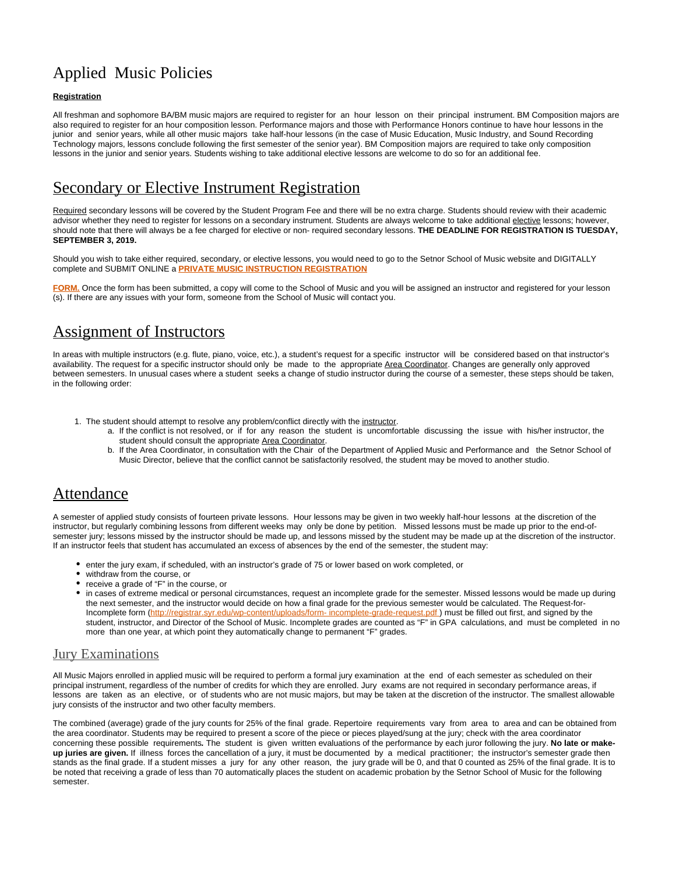# Applied Music Policies

#### **Registration**

All freshman and sophomore BA/BM music majors are required to register for an hour lesson on their principal instrument. BM Composition majors are also required to register for an hour composition lesson. Performance majors and those with Performance Honors continue to have hour lessons in the junior and senior years, while all other music majors take half-hour lessons (in the case of Music Education, Music Industry, and Sound Recording Technology majors, lessons conclude following the first semester of the senior year). BM Composition majors are required to take only composition lessons in the junior and senior years. Students wishing to take additional elective lessons are welcome to do so for an additional fee.

### <span id="page-6-0"></span>Secondary or Elective Instrument Registration

Required secondary lessons will be covered by the Student Program Fee and there will be no extra charge. Students should review with their academic advisor whether they need to register for lessons on a secondary instrument. Students are always welcome to take additional elective lessons; however, should note that there will always be a fee charged for elective or non- required secondary lessons. **THE DEADLINE FOR REGISTRATION IS TUESDAY, SEPTEMBER 3, 2019.**

Should you wish to take either required, secondary, or elective lessons, you would need to go to the Setnor School of Music website and DIGITALLY complete and SUBMIT ONLINE a **[PRIVATE MUSIC INSTRUCTION REGISTRATION](https://its-forms.syr.edu/frevvo/web/tn/VPA/user/mecarlse/app/_L9j2sDxLEeWxmM5q6-jqow/formtype/_rUvpoHdfEeWxmM5q6-jqow/popupform)**

[FORM.](https://its-forms.syr.edu/frevvo/web/tn/VPA/user/mecarlse/app/_L9j2sDxLEeWxmM5q6-jqow/formtype/_rUvpoHdfEeWxmM5q6-jqow/popupform) Once the form has been submitted, a copy will come to the School of Music and you will be assigned an instructor and registered for your lesson (s). If there are any issues with your form, someone from the School of Music will contact you.

## <span id="page-6-1"></span>Assignment of Instructors

In areas with multiple instructors (e.g. flute, piano, voice, etc.), a student's request for a specific instructor will be considered based on that instructor's availability. The request for a specific instructor should only be made to the appropriate Area Coordinator. Changes are generally only approved between semesters. In unusual cases where a student seeks a change of studio instructor during the course of a semester, these steps should be taken, in the following order:

- 1. The student should attempt to resolve any problem/conflict directly with the *instructor*.
	- a. If the conflict is not resolved, or if for any reason the student is uncomfortable discussing the issue with his/her instructor, the student should consult the appropriate Area Coordinator.
	- b. If the Area Coordinator, in consultation with the Chair of the Department of Applied Music and Performance and the Setnor School of Music Director, believe that the conflict cannot be satisfactorily resolved, the student may be moved to another studio.

### <span id="page-6-2"></span>Attendance

A semester of applied study consists of fourteen private lessons. Hour lessons may be given in two weekly half-hour lessons at the discretion of the instructor, but regularly combining lessons from different weeks may only be done by petition. Missed lessons must be made up prior to the end-ofsemester jury; lessons missed by the instructor should be made up, and lessons missed by the student may be made up at the discretion of the instructor. If an instructor feels that student has accumulated an excess of absences by the end of the semester, the student may:

- enter the jury exam, if scheduled, with an instructor's grade of 75 or lower based on work completed, or
- withdraw from the course, or
- receive a grade of "F" in the course, or
- in cases of extreme medical or personal circumstances, request an incomplete grade for the semester. Missed lessons would be made up during the next semester, and the instructor would decide on how a final grade for the previous semester would be calculated. The Request-for-Incomplete form (http://registrar.syr.edu/wp-content/uploads/form- incomplete-grade-request.pdf) must be filled out first, and signed by the student, instructor, and Director of the School of Music. Incomplete grades are counted as "F" in GPA calculations, and must be completed in no more than one year, at which point they automatically change to permanent "F" grades.

### Jury Examinations

All Music Majors enrolled in applied music will be required to perform a formal jury examination at the end of each semester as scheduled on their principal instrument, regardless of the number of credits for which they are enrolled. Jury exams are not required in secondary performance areas, if lessons are taken as an elective, or of students who are not music majors, but may be taken at the discretion of the instructor. The smallest allowable jury consists of the instructor and two other faculty members.

<span id="page-6-3"></span>The combined (average) grade of the jury counts for 25% of the final grade. Repertoire requirements vary from area to area and can be obtained from the area coordinator. Students may be required to present a score of the piece or pieces played/sung at the jury; check with the area coordinator concerning these possible requirements**.** The student is given written evaluations of the performance by each juror following the jury. **No late or makeup juries are given.** If illness forces the cancellation of a jury, it must be documented by a medical practitioner; the instructor's semester grade then stands as the final grade. If a student misses a jury for any other reason, the jury grade will be 0, and that 0 counted as 25% of the final grade. It is to be noted that receiving a grade of less than 70 automatically places the student on academic probation by the Setnor School of Music for the following semester.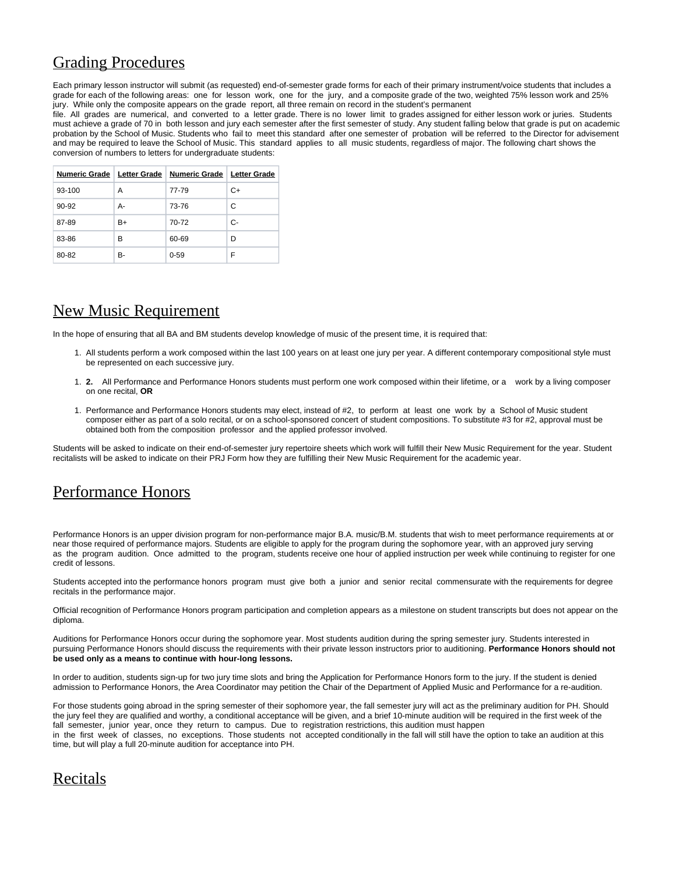## Grading Procedures

Each primary lesson instructor will submit (as requested) end-of-semester grade forms for each of their primary instrument/voice students that includes a grade for each of the following areas: one for lesson work, one for the jury, and a composite grade of the two, weighted 75% lesson work and 25% jury. While only the composite appears on the grade report, all three remain on record in the student's permanent

file. All grades are numerical, and converted to a letter grade. There is no lower limit to grades assigned for either lesson work or juries. Students must achieve a grade of 70 in both lesson and jury each semester after the first semester of study. Any student falling below that grade is put on academic probation by the School of Music. Students who fail to meet this standard after one semester of probation will be referred to the Director for advisement and may be required to leave the School of Music. This standard applies to all music students, regardless of major. The following chart shows the conversion of numbers to letters for undergraduate students:

|        |    | Numeric Grade   Letter Grade   Numeric Grade   Letter Grade |    |
|--------|----|-------------------------------------------------------------|----|
| 93-100 | А  | 77-79                                                       | C+ |
| 90-92  | А- | 73-76                                                       | C  |
| 87-89  | B+ | 70-72                                                       | C- |
| 83-86  | в  | 60-69                                                       | D  |
| 80-82  | B- | $0 - 59$                                                    | F  |

# <span id="page-7-0"></span>New Music Requirement

In the hope of ensuring that all BA and BM students develop knowledge of music of the present time, it is required that:

- 1. All students perform a work composed within the last 100 years on at least one jury per year. A different contemporary compositional style must be represented on each successive jury.
- 1. **2.** All Performance and Performance Honors students must perform one work composed within their lifetime, or a work by a living composer on one recital, **OR**
- 1. Performance and Performance Honors students may elect, instead of #2, to perform at least one work by a School of Music student composer either as part of a solo recital, or on a school-sponsored concert of student compositions. To substitute #3 for #2, approval must be obtained both from the composition professor and the applied professor involved.

Students will be asked to indicate on their end-of-semester jury repertoire sheets which work will fulfill their New Music Requirement for the year. Student recitalists will be asked to indicate on their PRJ Form how they are fulfilling their New Music Requirement for the academic year.

## <span id="page-7-1"></span>Performance Honors

Performance Honors is an upper division program for non-performance major B.A. music/B.M. students that wish to meet performance requirements at or near those required of performance majors. Students are eligible to apply for the program during the sophomore year, with an approved jury serving as the program audition. Once admitted to the program, students receive one hour of applied instruction per week while continuing to register for one credit of lessons.

Students accepted into the performance honors program must give both a junior and senior recital commensurate with the requirements for degree recitals in the performance major.

Official recognition of Performance Honors program participation and completion appears as a milestone on student transcripts but does not appear on the diploma.

Auditions for Performance Honors occur during the sophomore year. Most students audition during the spring semester jury. Students interested in pursuing Performance Honors should discuss the requirements with their private lesson instructors prior to auditioning. **Performance Honors should not be used only as a means to continue with hour-long lessons.**

In order to audition, students sign-up for two jury time slots and bring the Application for Performance Honors form to the jury. If the student is denied admission to Performance Honors, the Area Coordinator may petition the Chair of the Department of Applied Music and Performance for a re-audition.

For those students going abroad in the spring semester of their sophomore year, the fall semester jury will act as the preliminary audition for PH. Should the jury feel they are qualified and worthy, a conditional acceptance will be given, and a brief 10-minute audition will be required in the first week of the fall semester, junior year, once they return to campus. Due to registration restrictions, this audition must happen in the first week of classes, no exceptions. Those students not accepted conditionally in the fall will still have the option to take an audition at this time, but will play a full 20-minute audition for acceptance into PH.

## <span id="page-7-2"></span>Recitals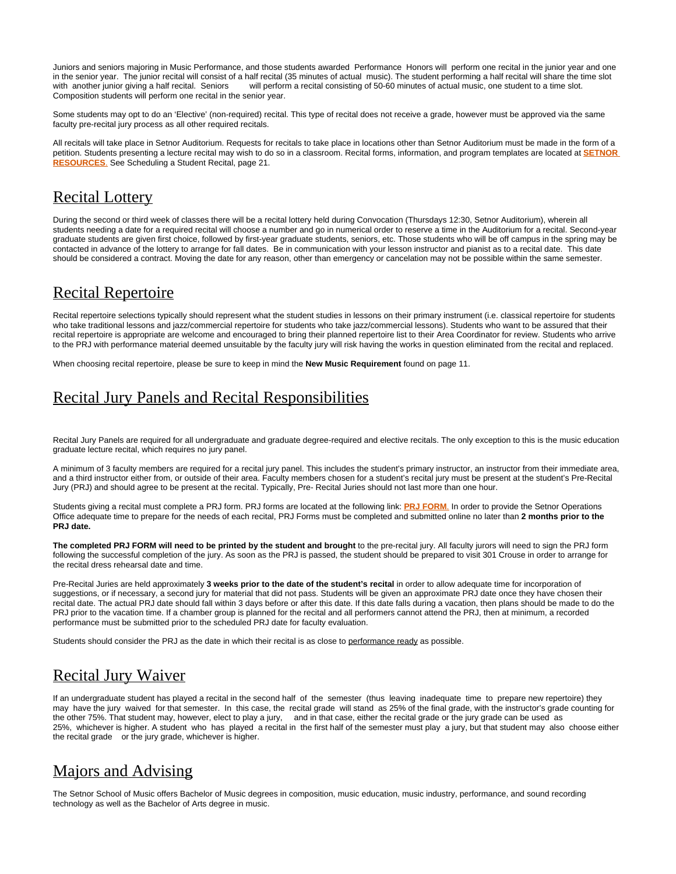Juniors and seniors majoring in Music Performance, and those students awarded Performance Honors will perform one recital in the junior year and one in the senior year. The junior recital will consist of a half recital (35 minutes of actual music). The student performing a half recital will share the time slot with another junior giving a half recital. Seniors will perform a recital consisting of 50-60 minutes of actual music, one student to a time slot. Composition students will perform one recital in the senior year.

Some students may opt to do an 'Elective' (non-required) recital. This type of recital does not receive a grade, however must be approved via the same faculty pre-recital jury process as all other required recitals.

All recitals will take place in Setnor Auditorium. Requests for recitals to take place in locations other than Setnor Auditorium must be made in the form of a petition. Students presenting a lecture recital may wish to do so in a classroom. Recital forms, information, and program templates are located at **[SETNOR](http://setnor-resources.vpa.syr.edu/music-majors/)  [RESOURCES](http://setnor-resources.vpa.syr.edu/music-majors/)**. See Scheduling a Student Recital, page 21.

## <span id="page-8-0"></span>Recital Lottery

During the second or third week of classes there will be a recital lottery held during Convocation (Thursdays 12:30, Setnor Auditorium), wherein all students needing a date for a required recital will choose a number and go in numerical order to reserve a time in the Auditorium for a recital. Second-year graduate students are given first choice, followed by first-year graduate students, seniors, etc. Those students who will be off campus in the spring may be contacted in advance of the lottery to arrange for fall dates. Be in communication with your lesson instructor and pianist as to a recital date. This date should be considered a contract. Moving the date for any reason, other than emergency or cancelation may not be possible within the same semester.

## <span id="page-8-1"></span>Recital Repertoire

Recital repertoire selections typically should represent what the student studies in lessons on their primary instrument (i.e. classical repertoire for students who take traditional lessons and jazz/commercial repertoire for students who take jazz/commercial lessons). Students who want to be assured that their recital repertoire is appropriate are welcome and encouraged to bring their planned repertoire list to their Area Coordinator for review. Students who arrive to the PRJ with performance material deemed unsuitable by the faculty jury will risk having the works in question eliminated from the recital and replaced.

When choosing recital repertoire, please be sure to keep in mind the **New Music Requirement** found on page 11.

# <span id="page-8-2"></span>Recital Jury Panels and Recital Responsibilities

Recital Jury Panels are required for all undergraduate and graduate degree-required and elective recitals. The only exception to this is the music education graduate lecture recital, which requires no jury panel.

A minimum of 3 faculty members are required for a recital jury panel. This includes the student's primary instructor, an instructor from their immediate area, and a third instructor either from, or outside of their area. Faculty members chosen for a student's recital jury must be present at the student's Pre-Recital Jury (PRJ) and should agree to be present at the recital. Typically, Pre- Recital Juries should not last more than one hour.

Students giving a recital must complete a PRJ form. PRJ forms are located at the following link: **[PRJ FORM](https://its-forms.syr.edu/frevvo/web/tn/VPA/user/mecarlse/app/_L9j2sDxLEeWxmM5q6-jqow/formtype/_MYXaoEDxEeWxmM5q6-jqow/popupform)**. In order to provide the Setnor Operations Office adequate time to prepare for the needs of each recital, PRJ Forms must be completed and submitted online no later than **2 months prior to the PRJ date.**

The completed PRJ FORM will need to be printed by the student and brought to the pre-recital jury. All faculty jurors will need to sign the PRJ form following the successful completion of the jury. As soon as the PRJ is passed, the student should be prepared to visit 301 Crouse in order to arrange for the recital dress rehearsal date and time.

Pre-Recital Juries are held approximately **3 weeks prior to the date of the student's recital** in order to allow adequate time for incorporation of suggestions, or if necessary, a second jury for material that did not pass. Students will be given an approximate PRJ date once they have chosen their recital date. The actual PRJ date should fall within 3 days before or after this date. If this date falls during a vacation, then plans should be made to do the PRJ prior to the vacation time. If a chamber group is planned for the recital and all performers cannot attend the PRJ, then at minimum, a recorded performance must be submitted prior to the scheduled PRJ date for faculty evaluation.

Students should consider the PRJ as the date in which their recital is as close to performance ready as possible.

## <span id="page-8-3"></span>Recital Jury Waiver

If an undergraduate student has played a recital in the second half of the semester (thus leaving inadequate time to prepare new repertoire) they may have the jury waived for that semester. In this case, the recital grade will stand as 25% of the final grade, with the instructor's grade counting for the other 75%. That student may, however, elect to play a jury, and in that case, either the recital grade or the jury grade can be used as 25%, whichever is higher. A student who has played a recital in the first half of the semester must play a jury, but that student may also choose either the recital grade or the jury grade, whichever is higher.

## <span id="page-8-4"></span>Majors and Advising

<span id="page-8-5"></span>The Setnor School of Music offers Bachelor of Music degrees in composition, music education, music industry, performance, and sound recording technology as well as the Bachelor of Arts degree in music.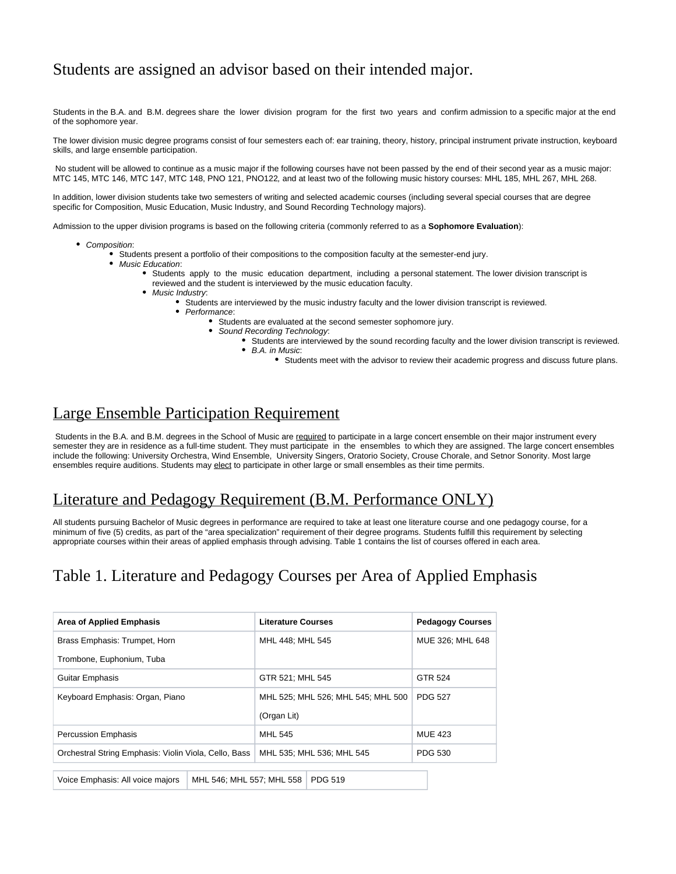## Students are assigned an advisor based on their intended major.

Students in the B.A. and B.M. degrees share the lower division program for the first two years and confirm admission to a specific major at the end of the sophomore year.

The lower division music degree programs consist of four semesters each of: ear training, theory, history, principal instrument private instruction, keyboard skills, and large ensemble participation.

 No student will be allowed to continue as a music major if the following courses have not been passed by the end of their second year as a music major: MTC 145, MTC 146, MTC 147, MTC 148, PNO 121, PNO122, and at least two of the following music history courses: MHL 185, MHL 267, MHL 268.

In addition, lower division students take two semesters of writing and selected academic courses (including several special courses that are degree specific for Composition, Music Education, Music Industry, and Sound Recording Technology majors).

Admission to the upper division programs is based on the following criteria (commonly referred to as a **Sophomore Evaluation**):

- Composition:
	- Students present a portfolio of their compositions to the composition faculty at the semester-end jury.
	- Music Education:
		- Students apply to the music education department, including a personal statement. The lower division transcript is reviewed and the student is interviewed by the music education faculty.
		- Music Industry:
			- Students are interviewed by the music industry faculty and the lower division transcript is reviewed.
			- $\bullet$ Performance:
				- Students are evaluated at the second semester sophomore jury.
					- Sound Recording Technology:
						- Students are interviewed by the sound recording faculty and the lower division transcript is reviewed. B.A. in Music:
							- Students meet with the advisor to review their academic progress and discuss future plans.

## <span id="page-9-0"></span>Large Ensemble Participation Requirement

Students in the B.A. and B.M. degrees in the School of Music are required to participate in a large concert ensemble on their major instrument every semester they are in residence as a full-time student. They must participate in the ensembles to which they are assigned. The large concert ensembles include the following: University Orchestra, Wind Ensemble, University Singers, Oratorio Society, Crouse Chorale, and Setnor Sonority. Most large ensembles require auditions. Students may elect to participate in other large or small ensembles as their time permits.

## <span id="page-9-1"></span>Literature and Pedagogy Requirement (B.M. Performance ONLY)

All students pursuing Bachelor of Music degrees in performance are required to take at least one literature course and one pedagogy course, for a minimum of five (5) credits, as part of the "area specialization" requirement of their degree programs. Students fulfill this requirement by selecting appropriate courses within their areas of applied emphasis through advising. Table 1 contains the list of courses offered in each area.

# <span id="page-9-2"></span>Table 1. Literature and Pedagogy Courses per Area of Applied Emphasis

|                                                       | <b>Area of Applied Emphasis</b>  |                                    | <b>Literature Courses</b> |                | <b>Pedagogy Courses</b> |  |
|-------------------------------------------------------|----------------------------------|------------------------------------|---------------------------|----------------|-------------------------|--|
|                                                       | Brass Emphasis: Trumpet, Horn    |                                    | MHL 448: MHL 545          |                | MUE 326: MHL 648        |  |
| Trombone, Euphonium, Tuba                             |                                  |                                    |                           |                |                         |  |
| <b>Guitar Emphasis</b>                                |                                  |                                    | GTR 521; MHL 545          |                | GTR 524                 |  |
|                                                       | Keyboard Emphasis: Organ, Piano  | MHL 525; MHL 526; MHL 545; MHL 500 |                           | <b>PDG 527</b> |                         |  |
|                                                       |                                  |                                    | (Organ Lit)               |                |                         |  |
| <b>Percussion Emphasis</b>                            |                                  | <b>MHL 545</b>                     |                           | <b>MUE 423</b> |                         |  |
| Orchestral String Emphasis: Violin Viola, Cello, Bass |                                  | MHL 535: MHL 536: MHL 545          |                           | PDG 530        |                         |  |
|                                                       | Voice Emphasis: All voice majors |                                    | MHL 546; MHL 557; MHL 558 | <b>PDG 519</b> |                         |  |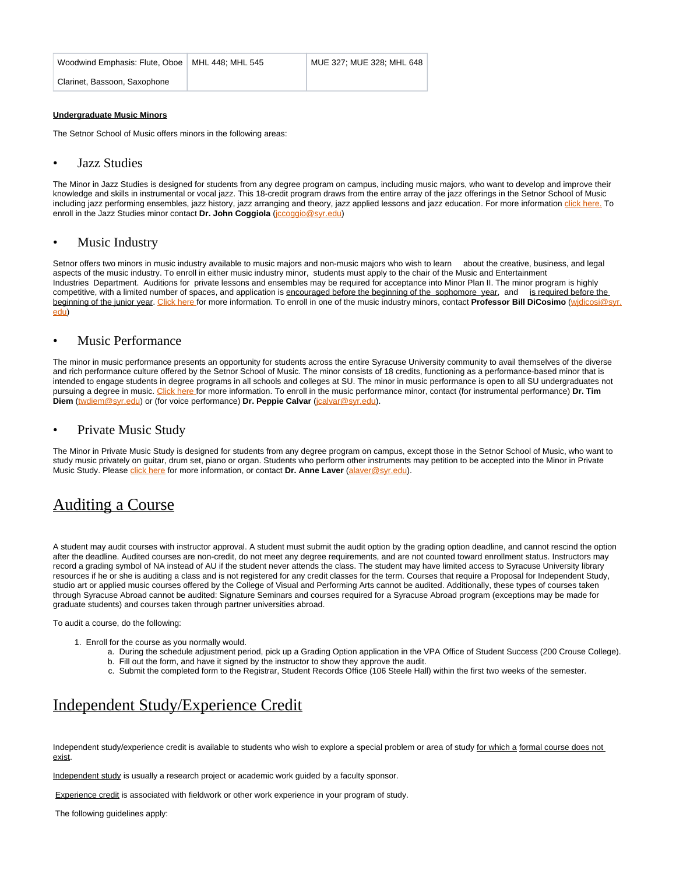| Woodwind Emphasis: Flute, Oboe   MHL 448: MHL 545 | MUE 327: MUE 328: MHL 648 |
|---------------------------------------------------|---------------------------|
| Clarinet, Bassoon, Saxophone                      |                           |

#### **Undergraduate Music Minors**

The Setnor School of Music offers minors in the following areas:

#### <span id="page-10-0"></span>• Jazz Studies

The Minor in Jazz Studies is designed for students from any degree program on campus, including music majors, who want to develop and improve their knowledge and skills in instrumental or vocal jazz. This 18-credit program draws from the entire array of the jazz offerings in the Setnor School of Music including jazz performing ensembles, jazz history, jazz arranging and theory, jazz applied lessons and jazz education. For more information [click here.](http://vpa.syr.edu/academics/setnor/minors/jazz-studies) To enroll in the Jazz Studies minor contact **Dr. John Coggiola** (*[jccoggio@syr.edu](mailto:jccoggio@syr.edu)*)

### <span id="page-10-1"></span>Music Industry

Setnor offers two minors in music industry available to music majors and non-music majors who wish to learn about the creative, business, and legal aspects of the music industry. To enroll in either music industry minor, students must apply to the chair of the Music and Entertainment Industries Department. Auditions for private lessons and ensembles may be required for acceptance into Minor Plan II. The minor program is highly competitive, with a limited number of spaces, and application is encouraged before the beginning of the sophomore year, and is required before the beginning of the junior year. [Click here](http://vpa.syr.edu/academics/setnor/minors/music-industry/) for more information. To enroll in one of the music industry minors, contact **Professor Bill DiCosimo** [\(wjdicosi@syr.](mailto:wjdicosi@syr.edu) [edu\)](mailto:wjdicosi@syr.edu)

### <span id="page-10-2"></span>• Music Performance

The minor in music performance presents an opportunity for students across the entire Syracuse University community to avail themselves of the diverse and rich performance culture offered by the Setnor School of Music. The minor consists of 18 credits, functioning as a performance-based minor that is intended to engage students in degree programs in all schools and colleges at SU. The minor in music performance is open to all SU undergraduates not pursuing a degree in music. [Click here f](http://vpa.syr.edu/academics/setnor/minors/music-performance/)or more information. To enroll in the music performance minor, contact (for instrumental performance) **Dr. Tim Diem** ([twdiem@syr.edu\)](mailto:twdiem@syr.edu) or (for voice performance) **Dr. Peppie Calvar** ([jcalvar@syr.edu](mailto:jcalvar@syr.edu)).

### <span id="page-10-3"></span>• Private Music Study

The Minor in Private Music Study is designed for students from any degree program on campus, except those in the Setnor School of Music, who want to study music privately on guitar, drum set, piano or organ. Students who perform other instruments may petition to be accepted into the Minor in Private Music Study. Please [click here](http://vpa.syr.edu/academics/setnor/minors/private-music-study/) for more information, or contact **Dr. Anne Laver** [\(alaver@syr.edu\)](mailto:alaver@syr.edu).

### <span id="page-10-4"></span>Auditing a Course

A student may audit courses with instructor approval. A student must submit the audit option by the grading option deadline, and cannot rescind the option after the deadline. Audited courses are non-credit, do not meet any degree requirements, and are not counted toward enrollment status. Instructors may record a grading symbol of NA instead of AU if the student never attends the class. The student may have limited access to Syracuse University library resources if he or she is auditing a class and is not registered for any credit classes for the term. Courses that require a Proposal for Independent Study, studio art or applied music courses offered by the College of Visual and Performing Arts cannot be audited. Additionally, these types of courses taken through Syracuse Abroad cannot be audited: Signature Seminars and courses required for a Syracuse Abroad program (exceptions may be made for graduate students) and courses taken through partner universities abroad.

To audit a course, do the following:

- 1. Enroll for the course as you normally would.
	- a. During the schedule adjustment period, pick up a Grading Option application in the VPA Office of Student Success (200 Crouse College).
	- b. Fill out the form, and have it signed by the instructor to show they approve the audit.
	- c. Submit the completed form to the Registrar, Student Records Office (106 Steele Hall) within the first two weeks of the semester.

## <span id="page-10-5"></span>Independent Study/Experience Credit

Independent study/experience credit is available to students who wish to explore a special problem or area of study for which a formal course does not exist.

Independent study is usually a research project or academic work guided by a faculty sponsor.

Experience credit is associated with fieldwork or other work experience in your program of study.

The following guidelines apply: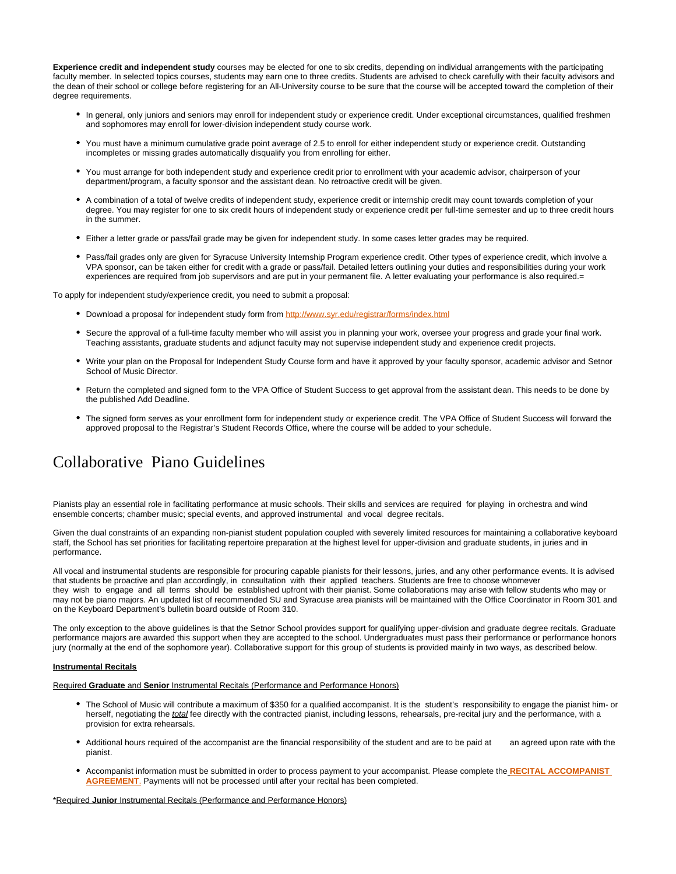**Experience credit and independent study** courses may be elected for one to six credits, depending on individual arrangements with the participating faculty member. In selected topics courses, students may earn one to three credits. Students are advised to check carefully with their faculty advisors and the dean of their school or college before registering for an All-University course to be sure that the course will be accepted toward the completion of their degree requirements.

- In general, only juniors and seniors may enroll for independent study or experience credit. Under exceptional circumstances, qualified freshmen and sophomores may enroll for lower-division independent study course work.
- You must have a minimum cumulative grade point average of 2.5 to enroll for either independent study or experience credit. Outstanding incompletes or missing grades automatically disqualify you from enrolling for either.
- You must arrange for both independent study and experience credit prior to enrollment with your academic advisor, chairperson of your department/program, a faculty sponsor and the assistant dean. No retroactive credit will be given.
- A combination of a total of twelve credits of independent study, experience credit or internship credit may count towards completion of your degree. You may register for one to six credit hours of independent study or experience credit per full-time semester and up to three credit hours in the summer.
- Either a letter grade or pass/fail grade may be given for independent study. In some cases letter grades may be required.
- Pass/fail grades only are given for Syracuse University Internship Program experience credit. Other types of experience credit, which involve a VPA sponsor, can be taken either for credit with a grade or pass/fail. Detailed letters outlining your duties and responsibilities during your work experiences are required from job supervisors and are put in your permanent file. A letter evaluating your performance is also required.=

To apply for independent study/experience credit, you need to submit a proposal:

- Download a proposal for independent study form from <http://www.syr.edu/registrar/forms/index.html>
- Secure the approval of a full-time faculty member who will assist you in planning your work, oversee your progress and grade your final work. Teaching assistants, graduate students and adjunct faculty may not supervise independent study and experience credit projects.
- Write your plan on the Proposal for Independent Study Course form and have it approved by your faculty sponsor, academic advisor and Setnor School of Music Director.
- Return the completed and signed form to the VPA Office of Student Success to get approval from the assistant dean. This needs to be done by the published Add Deadline.
- The signed form serves as your enrollment form for independent study or experience credit. The VPA Office of Student Success will forward the approved proposal to the Registrar's Student Records Office, where the course will be added to your schedule.

# <span id="page-11-0"></span>Collaborative Piano Guidelines

Pianists play an essential role in facilitating performance at music schools. Their skills and services are required for playing in orchestra and wind ensemble concerts; chamber music; special events, and approved instrumental and vocal degree recitals.

Given the dual constraints of an expanding non-pianist student population coupled with severely limited resources for maintaining a collaborative keyboard staff, the School has set priorities for facilitating repertoire preparation at the highest level for upper-division and graduate students, in juries and in performance.

All vocal and instrumental students are responsible for procuring capable pianists for their lessons, juries, and any other performance events. It is advised that students be proactive and plan accordingly, in consultation with their applied teachers. Students are free to choose whomever they wish to engage and all terms should be established upfront with their pianist. Some collaborations may arise with fellow students who may or may not be piano majors. An updated list of recommended SU and Syracuse area pianists will be maintained with the Office Coordinator in Room 301 and on the Keyboard Department's bulletin board outside of Room 310.

The only exception to the above guidelines is that the Setnor School provides support for qualifying upper-division and graduate degree recitals. Graduate performance majors are awarded this support when they are accepted to the school. Undergraduates must pass their performance or performance honors jury (normally at the end of the sophomore year). Collaborative support for this group of students is provided mainly in two ways, as described below.

#### **Instrumental Recitals**

Required **Graduate** and **Senior** Instrumental Recitals (Performance and Performance Honors)

- The School of Music will contribute a maximum of \$350 for a qualified accompanist. It is the student's responsibility to engage the pianist him- or herself, negotiating the total fee directly with the contracted pianist, including lessons, rehearsals, pre-recital jury and the performance, with a provision for extra rehearsals.
- Additional hours required of the accompanist are the financial responsibility of the student and are to be paid at an agreed upon rate with the pianist.
- Accompanist information must be submitted in order to process payment to your accompanist. Please complete the **[RECITAL ACCOMPANIST](https://its-forms.syr.edu/frevvo/web/tn/VPA/user/mecarlse/app/_L9j2sDxLEeWxmM5q6-jqow/formtype/_miI5sGh3EeaqzbUfLcBjSQ/popupform)  [AGREEMENT](https://its-forms.syr.edu/frevvo/web/tn/VPA/user/mecarlse/app/_L9j2sDxLEeWxmM5q6-jqow/formtype/_miI5sGh3EeaqzbUfLcBjSQ/popupform)**. Payments will not be processed until after your recital has been completed.

\*Required **Junior** Instrumental Recitals (Performance and Performance Honors)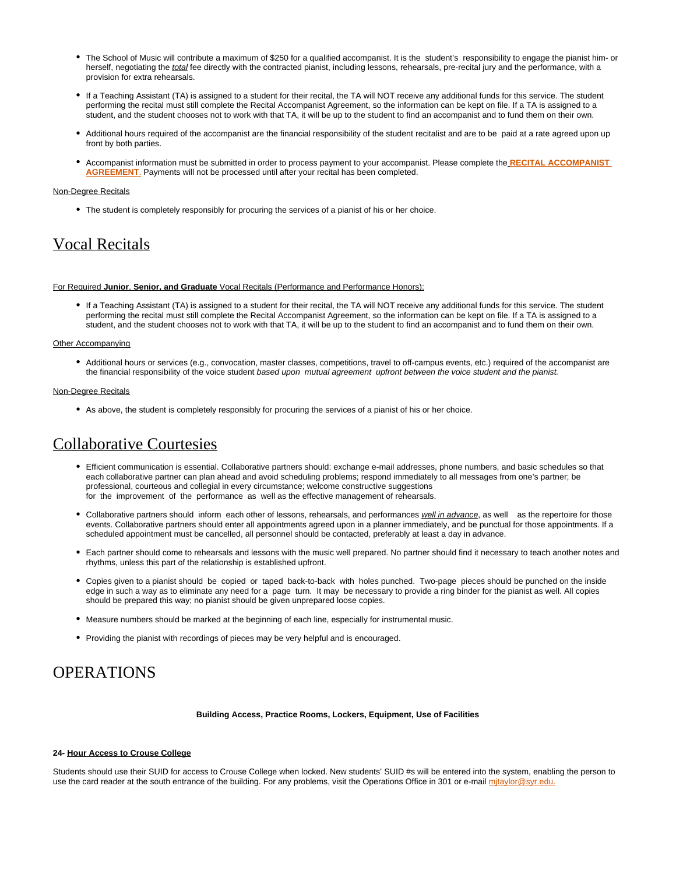- The School of Music will contribute a maximum of \$250 for a qualified accompanist. It is the student's responsibility to engage the pianist him- or herself, negotiating the total fee directly with the contracted pianist, including lessons, rehearsals, pre-recital jury and the performance, with a provision for extra rehearsals.
- If a Teaching Assistant (TA) is assigned to a student for their recital, the TA will NOT receive any additional funds for this service. The student performing the recital must still complete the Recital Accompanist Agreement, so the information can be kept on file. If a TA is assigned to a student, and the student chooses not to work with that TA, it will be up to the student to find an accompanist and to fund them on their own.
- Additional hours required of the accompanist are the financial responsibility of the student recitalist and are to be paid at a rate agreed upon up front by both parties.
- Accompanist information must be submitted in order to process payment to your accompanist. Please complete the **[RECITAL ACCOMPANIST](https://its-forms.syr.edu/frevvo/web/tn/VPA/user/mecarlse/app/_L9j2sDxLEeWxmM5q6-jqow/formtype/_miI5sGh3EeaqzbUfLcBjSQ/popupform)  [AGREEMENT](https://its-forms.syr.edu/frevvo/web/tn/VPA/user/mecarlse/app/_L9j2sDxLEeWxmM5q6-jqow/formtype/_miI5sGh3EeaqzbUfLcBjSQ/popupform)**. Payments will not be processed until after your recital has been completed.

#### Non-Degree Recitals

The student is completely responsibly for procuring the services of a pianist of his or her choice.

## <span id="page-12-0"></span>Vocal Recitals

#### For Required **Junior**, **Senior, and Graduate** Vocal Recitals (Performance and Performance Honors):

If a Teaching Assistant (TA) is assigned to a student for their recital, the TA will NOT receive any additional funds for this service. The student performing the recital must still complete the Recital Accompanist Agreement, so the information can be kept on file. If a TA is assigned to a student, and the student chooses not to work with that TA, it will be up to the student to find an accompanist and to fund them on their own.

#### Other Accompanying

Additional hours or services (e.g., convocation, master classes, competitions, travel to off-campus events, etc.) required of the accompanist are the financial responsibility of the voice student based upon mutual agreement upfront between the voice student and the pianist.

#### Non-Degree Recitals

As above, the student is completely responsibly for procuring the services of a pianist of his or her choice.

## <span id="page-12-1"></span>Collaborative Courtesies

- Efficient communication is essential. Collaborative partners should: exchange e-mail addresses, phone numbers, and basic schedules so that each collaborative partner can plan ahead and avoid scheduling problems; respond immediately to all messages from one's partner; be professional, courteous and collegial in every circumstance; welcome constructive suggestions for the improvement of the performance as well as the effective management of rehearsals.
- Collaborative partners should inform each other of lessons, rehearsals, and performances well in advance, as well as the repertoire for those events. Collaborative partners should enter all appointments agreed upon in a planner immediately, and be punctual for those appointments. If a scheduled appointment must be cancelled, all personnel should be contacted, preferably at least a day in advance.
- Each partner should come to rehearsals and lessons with the music well prepared. No partner should find it necessary to teach another notes and rhythms, unless this part of the relationship is established upfront.
- Copies given to a pianist should be copied or taped back-to-back with holes punched. Two-page pieces should be punched on the inside edge in such a way as to eliminate any need for a page turn. It may be necessary to provide a ring binder for the pianist as well. All copies should be prepared this way; no pianist should be given unprepared loose copies.
- Measure numbers should be marked at the beginning of each line, especially for instrumental music.
- Providing the pianist with recordings of pieces may be very helpful and is encouraged.

## <span id="page-12-2"></span>**OPERATIONS**

#### **Building Access, Practice Rooms, Lockers, Equipment, Use of Facilities**

#### **24- Hour Access to Crouse College**

<span id="page-12-3"></span>Students should use their SUID for access to Crouse College when locked. New students' SUID #s will be entered into the system, enabling the person to use the card reader at the south entrance of the building. For any problems, visit the Operations Office in 301 or e-mail mitaylor@syr.edu.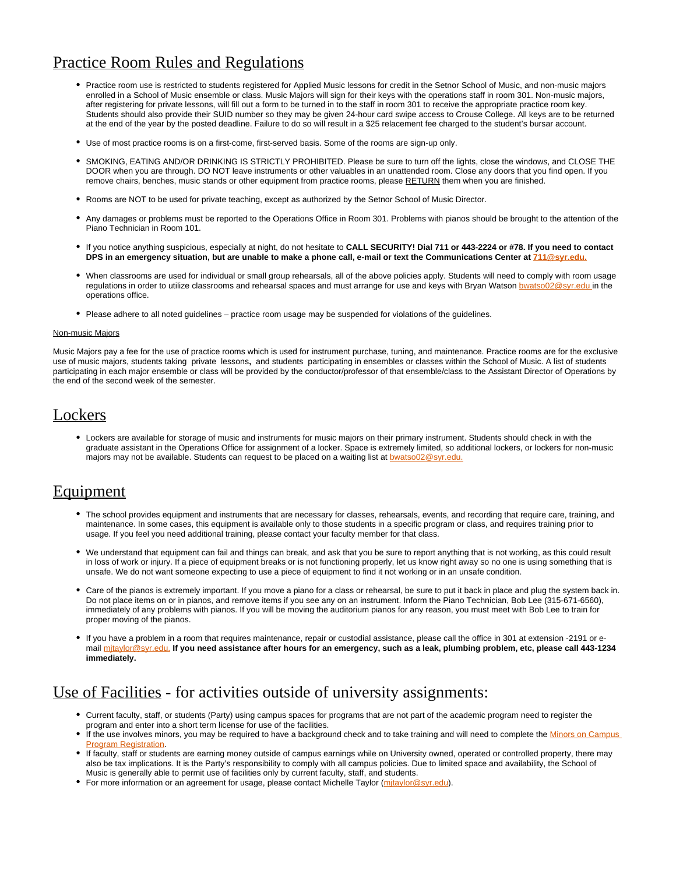## Practice Room Rules and Regulations

- Practice room use is restricted to students registered for Applied Music lessons for credit in the Setnor School of Music, and non-music maiors enrolled in a School of Music ensemble or class. Music Majors will sign for their keys with the operations staff in room 301. Non-music majors, after registering for private lessons, will fill out a form to be turned in to the staff in room 301 to receive the appropriate practice room key. Students should also provide their SUID number so they may be given 24-hour card swipe access to Crouse College. All keys are to be returned at the end of the year by the posted deadline. Failure to do so will result in a \$25 relacement fee charged to the student's bursar account.
- Use of most practice rooms is on a first-come, first-served basis. Some of the rooms are sign-up only.
- SMOKING, EATING AND/OR DRINKING IS STRICTLY PROHIBITED. Please be sure to turn off the lights, close the windows, and CLOSE THE DOOR when you are through. DO NOT leave instruments or other valuables in an unattended room. Close any doors that you find open. If you remove chairs, benches, music stands or other equipment from practice rooms, please RETURN them when you are finished.
- Rooms are NOT to be used for private teaching, except as authorized by the Setnor School of Music Director.
- $\bullet$ Any damages or problems must be reported to the Operations Office in Room 301. Problems with pianos should be brought to the attention of the Piano Technician in Room 101.
- If you notice anything suspicious, especially at night, do not hesitate to **CALL SECURITY! Dial 711 or 443-2224 or #78. If you need to contact DPS in an emergency situation, but are unable to make a phone call, e-mail or text the Communications Center at [711@syr.edu.](mailto:711@syr.edu)**
- When classrooms are used for individual or small group rehearsals, all of the above policies apply. Students will need to comply with room usage regulations in order to utilize classrooms and rehearsal spaces and must arrange for use and keys with Bryan Watson [bwatso02@syr.edu i](mailto:bwatso02@syr.edu)n the operations office.
- Please adhere to all noted guidelines practice room usage may be suspended for violations of the guidelines.

#### Non-music Majors

Music Majors pay a fee for the use of practice rooms which is used for instrument purchase, tuning, and maintenance. Practice rooms are for the exclusive use of music majors, students taking private lessons**,** and students participating in ensembles or classes within the School of Music. A list of students participating in each major ensemble or class will be provided by the conductor/professor of that ensemble/class to the Assistant Director of Operations by the end of the second week of the semester.

### <span id="page-13-0"></span>**Lockers**

Lockers are available for storage of music and instruments for music majors on their primary instrument. Students should check in with the graduate assistant in the Operations Office for assignment of a locker. Space is extremely limited, so additional lockers, or lockers for non-music majors may not be available. Students can request to be placed on a waiting list at **bwatso02@syr.edu.** 

### <span id="page-13-1"></span>**Equipment**

- The school provides equipment and instruments that are necessary for classes, rehearsals, events, and recording that require care, training, and maintenance. In some cases, this equipment is available only to those students in a specific program or class, and requires training prior to usage. If you feel you need additional training, please contact your faculty member for that class.
- We understand that equipment can fail and things can break, and ask that you be sure to report anything that is not working, as this could result in loss of work or injury. If a piece of equipment breaks or is not functioning properly, let us know right away so no one is using something that is unsafe. We do not want someone expecting to use a piece of equipment to find it not working or in an unsafe condition.
- Care of the pianos is extremely important. If you move a piano for a class or rehearsal, be sure to put it back in place and plug the system back in. Do not place items on or in pianos, and remove items if you see any on an instrument. Inform the Piano Technician, Bob Lee (315-671-6560), immediately of any problems with pianos. If you will be moving the auditorium pianos for any reason, you must meet with Bob Lee to train for proper moving of the pianos.
- If you have a problem in a room that requires maintenance, repair or custodial assistance, please call the office in 301 at extension -2191 or email [mjtaylor@syr.edu.](mailto:mjtaylor@syr.edu) **If you need assistance after hours for an emergency, such as a leak, plumbing problem, etc, please call 443-1234 immediately.**

## <span id="page-13-2"></span>Use of Facilities - for activities outside of university assignments:

- Current faculty, staff, or students (Party) using campus spaces for programs that are not part of the academic program need to register the program and enter into a short term license for use of the facilities.
- If the use involves minors, you may be required to have a background check and to take training and will need to complete the Minors on Campus **Program Registration**
- If faculty, staff or students are earning money outside of campus earnings while on University owned, operated or controlled property, there may also be tax implications. It is the Party's responsibility to comply with all campus policies. Due to limited space and availability, the School of Music is generally able to permit use of facilities only by current faculty, staff, and students.
- <span id="page-13-3"></span>• For more information or an agreement for usage, please contact Michelle Taylor (mitaylor@syr.edu).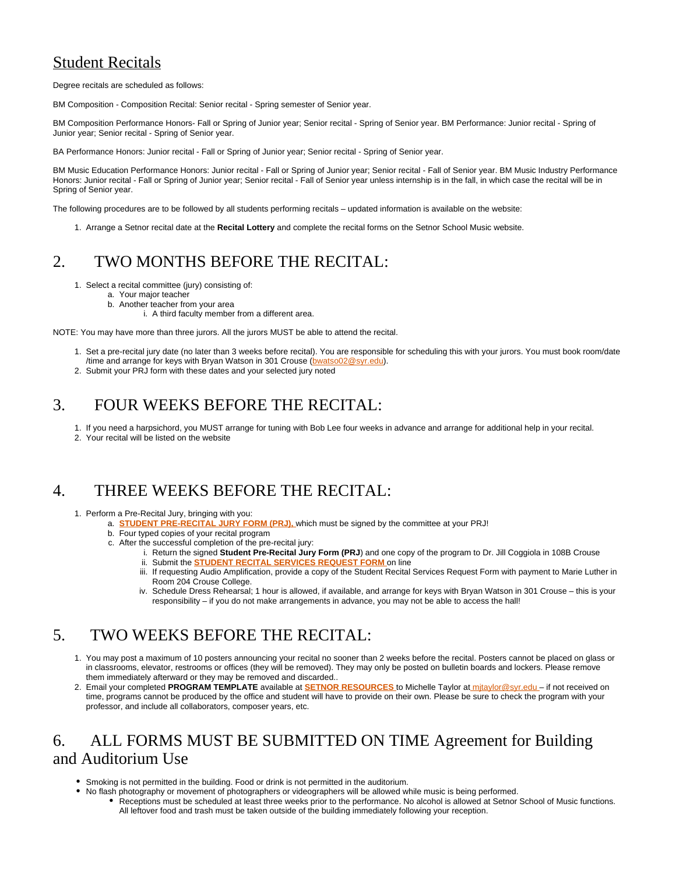## Student Recitals

Degree recitals are scheduled as follows:

BM Composition - Composition Recital: Senior recital - Spring semester of Senior year.

BM Composition Performance Honors- Fall or Spring of Junior year; Senior recital - Spring of Senior year. BM Performance: Junior recital - Spring of Junior year; Senior recital - Spring of Senior year.

BA Performance Honors: Junior recital - Fall or Spring of Junior year; Senior recital - Spring of Senior year.

BM Music Education Performance Honors: Junior recital - Fall or Spring of Junior year; Senior recital - Fall of Senior year. BM Music Industry Performance Honors: Junior recital - Fall or Spring of Junior year; Senior recital - Fall of Senior year unless internship is in the fall, in which case the recital will be in Spring of Senior year.

The following procedures are to be followed by all students performing recitals – updated information is available on the website:

1. Arrange a Setnor recital date at the **Recital Lottery** and complete the recital forms on the Setnor School Music website.

# <span id="page-14-0"></span>2. TWO MONTHS BEFORE THE RECITAL:

- 1. Select a recital committee (jury) consisting of:
	- a. Your major teacher
	- b. Another teacher from your area
		- i. A third faculty member from a different area.

NOTE: You may have more than three jurors. All the jurors MUST be able to attend the recital.

- 1. Set a pre-recital jury date (no later than 3 weeks before recital). You are responsible for scheduling this with your jurors. You must book room/date /time and arrange for keys with Bryan Watson in 301 Crouse [\(bwatso02@syr.edu](mailto:bwatso02@syr.edu)).
- 2. Submit your PRJ form with these dates and your selected jury noted

# <span id="page-14-1"></span>3. FOUR WEEKS BEFORE THE RECITAL:

- 1. If you need a harpsichord, you MUST arrange for tuning with Bob Lee four weeks in advance and arrange for additional help in your recital.
- 2. Your recital will be listed on the website

## <span id="page-14-2"></span>4. THREE WEEKS BEFORE THE RECITAL:

- 1. Perform a Pre-Recital Jury, bringing with you:
	- a. **[STUDENT PRE-RECITAL JURY FORM \(PRJ\),](https://its-forms.syr.edu/frevvo/web/tn/VPA/user/mecarlse/app/_L9j2sDxLEeWxmM5q6-jqow/formtype/_MYXaoEDxEeWxmM5q6-jqow/popupform)** which must be signed by the committee at your PRJ!
		- b. Four typed copies of your recital program
		- c. After the successful completion of the pre-recital jury:
			- i. Return the signed **Student Pre-Recital Jury Form (PRJ**) and one copy of the program to Dr. Jill Coggiola in 108B Crouse ii. Submit the **[STUDENT RECITAL SERVICES REQUEST FORM](https://its-forms.syr.edu/frevvo/web/tn/VPA/user/mecarlse/app/_L9j2sDxLEeWxmM5q6-jqow/formtype/_26p1sEENEeWxmM5q6-jqow/popupform)** on line
			- iii. If requesting Audio Amplification, provide a copy of the Student Recital Services Request Form with payment to Marie Luther in Room 204 Crouse College.
			- iv. Schedule Dress Rehearsal; 1 hour is allowed, if available, and arrange for keys with Bryan Watson in 301 Crouse this is your responsibility – if you do not make arrangements in advance, you may not be able to access the hall!

# <span id="page-14-3"></span>5. TWO WEEKS BEFORE THE RECITAL:

- 1. You may post a maximum of 10 posters announcing your recital no sooner than 2 weeks before the recital. Posters cannot be placed on glass or in classrooms, elevator, restrooms or offices (they will be removed). They may only be posted on bulletin boards and lockers. Please remove them immediately afterward or they may be removed and discarded..
- 2. Email your completed **PROGRAM TEMPLATE** available at **[SETNOR RESOURCES](http://setnor-resources.vpa.syr.edu/music-majors/)** to Michelle Taylor a[t mjtaylor@syr.edu –](mailto:mjtaylor@syr.edu) if not received on time, programs cannot be produced by the office and student will have to provide on their own. Please be sure to check the program with your professor, and include all collaborators, composer years, etc.

## <span id="page-14-4"></span>6. ALL FORMS MUST BE SUBMITTED ON TIME Agreement for Building and Auditorium Use

- Smoking is not permitted in the building. Food or drink is not permitted in the auditorium.
	- No flash photography or movement of photographers or videographers will be allowed while music is being performed.
		- Receptions must be scheduled at least three weeks prior to the performance. No alcohol is allowed at Setnor School of Music functions. All leftover food and trash must be taken outside of the building immediately following your reception.